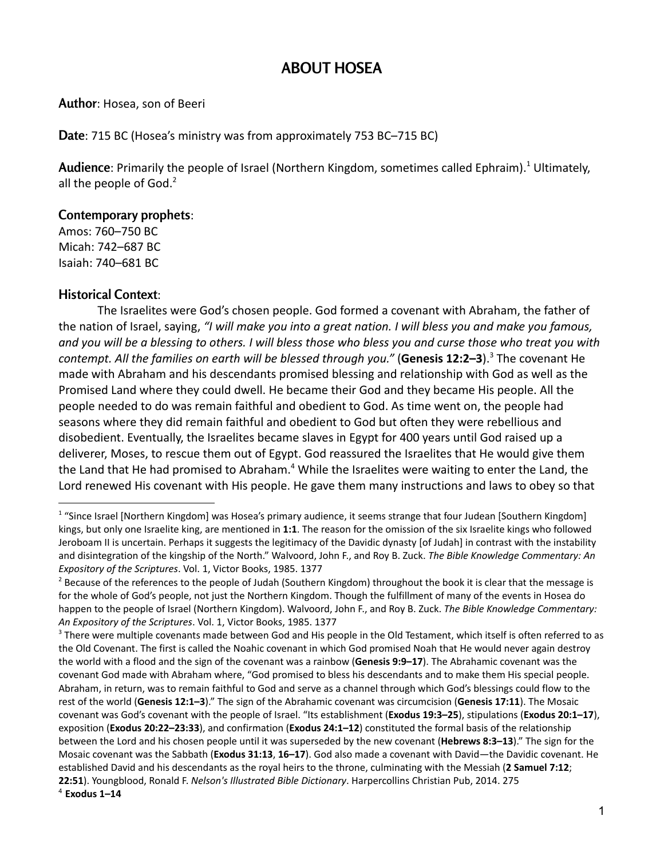### **ABOUT HOSEA**

**Author**: Hosea, son of Beeri

**Date**: 715 BC (Hosea's ministry was from approximately 753 BC–715 BC)

**Audience**: Primarily the people of Israel (Northern Kingdom, sometimes called Ephraim).<sup>1</sup> Ultimately, all the people of God.<sup>2</sup>

#### **Contemporary prophets**:

Amos: 760–750 BC Micah: 742–687 BC Isaiah: 740–681 BC

#### **Historical Context**:

The Israelites were God's chosen people. God formed a covenant with Abraham, the father of the nation of Israel, saying, *"I will make you into a great nation. I will bless you and make you famous, and you will be a blessing to others. I will bless those who bless you and curse those who treat you with contempt. All the families on earth will be blessed through you."* (**Genesis 12:2–3**).<sup>3</sup> The covenant He made with Abraham and his descendants promised blessing and relationship with God as well as the Promised Land where they could dwell. He became their God and they became His people. All the people needed to do was remain faithful and obedient to God. As time went on, the people had seasons where they did remain faithful and obedient to God but often they were rebellious and disobedient. Eventually, the Israelites became slaves in Egypt for 400 years until God raised up a deliverer, Moses, to rescue them out of Egypt. God reassured the Israelites that He would give them the Land that He had promised to Abraham.<sup>4</sup> While the Israelites were waiting to enter the Land, the Lord renewed His covenant with His people. He gave them many instructions and laws to obey so that

<sup>&</sup>lt;sup>1</sup> "Since Israel [Northern Kingdom] was Hosea's primary audience, it seems strange that four Judean [Southern Kingdom] kings, but only one Israelite king, are mentioned in **1:1**. The reason for the omission of the six Israelite kings who followed Jeroboam II is uncertain. Perhaps it suggests the legitimacy of the Davidic dynasty [of Judah] in contrast with the instability and disintegration of the kingship of the North." Walvoord, John F., and Roy B. Zuck. *The Bible Knowledge Commentary: An Expository of the Scriptures*. Vol. 1, Victor Books, 1985. 1377

<sup>&</sup>lt;sup>2</sup> Because of the references to the people of Judah (Southern Kingdom) throughout the book it is clear that the message is for the whole of God's people, not just the Northern Kingdom. Though the fulfillment of many of the events in Hosea do happen to the people of Israel (Northern Kingdom). Walvoord, John F., and Roy B. Zuck. *The Bible Knowledge Commentary: An Expository of the Scriptures*. Vol. 1, Victor Books, 1985. 1377

<sup>&</sup>lt;sup>3</sup> There were multiple covenants made between God and His people in the Old Testament, which itself is often referred to as the Old Covenant. The first is called the Noahic covenant in which God promised Noah that He would never again destroy the world with a flood and the sign of the covenant was a rainbow (**Genesis 9:9–17**). The Abrahamic covenant was the covenant God made with Abraham where, "God promised to bless his descendants and to make them His special people. Abraham, in return, was to remain faithful to God and serve as a channel through which God's blessings could flow to the rest of the world (**Genesis 12:1–3**)." The sign of the Abrahamic covenant was circumcision (**Genesis 17:11**). The Mosaic covenant was God's covenant with the people of Israel. "Its establishment (**Exodus 19:3–25**), stipulations (**Exodus 20:1–17**), exposition (**Exodus 20:22–23:33**), and confirmation (**Exodus 24:1–12**) constituted the formal basis of the relationship between the Lord and his chosen people until it was superseded by the new covenant (**Hebrews 8:3–13**)." The sign for the Mosaic covenant was the Sabbath (**Exodus 31:13**, **16–17**). God also made a covenant with David—the Davidic covenant. He established David and his descendants as the royal heirs to the throne, culminating with the Messiah (**2 Samuel 7:12**; **22:51**). Youngblood, Ronald F. *Nelson's Illustrated Bible Dictionary*. Harpercollins Christian Pub, 2014. 275

<sup>4</sup> **Exodus 1–14**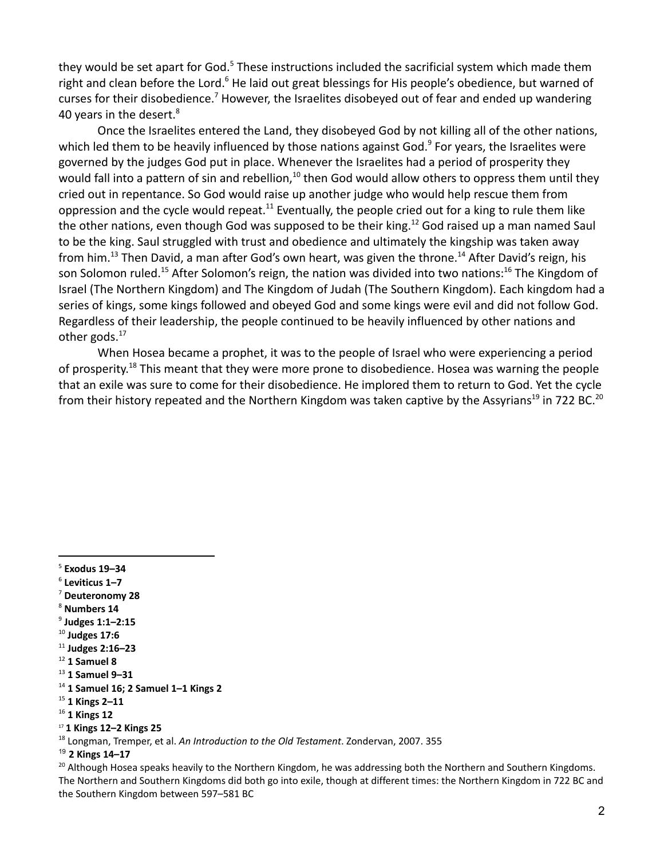they would be set apart for God.<sup>5</sup> These instructions included the sacrificial system which made them right and clean before the Lord.<sup>6</sup> He laid out great blessings for His people's obedience, but warned of curses for their disobedience.<sup>7</sup> However, the Israelites disobeyed out of fear and ended up wandering 40 years in the desert.<sup>8</sup>

Once the Israelites entered the Land, they disobeyed God by not killing all of the other nations, which led them to be heavily influenced by those nations against God.<sup>9</sup> For years, the Israelites were governed by the judges God put in place. Whenever the Israelites had a period of prosperity they would fall into a pattern of sin and rebellion,<sup>10</sup> then God would allow others to oppress them until they cried out in repentance. So God would raise up another judge who would help rescue them from oppression and the cycle would repeat.<sup>11</sup> Eventually, the people cried out for a king to rule them like the other nations, even though God was supposed to be their king.<sup>12</sup> God raised up a man named Saul to be the king. Saul struggled with trust and obedience and ultimately the kingship was taken away from him.<sup>13</sup> Then David, a man after God's own heart, was given the throne.<sup>14</sup> After David's reign, his son Solomon ruled.<sup>15</sup> After Solomon's reign, the nation was divided into two nations:<sup>16</sup> The Kingdom of Israel (The Northern Kingdom) and The Kingdom of Judah (The Southern Kingdom). Each kingdom had a series of kings, some kings followed and obeyed God and some kings were evil and did not follow God. Regardless of their leadership, the people continued to be heavily influenced by other nations and other gods.<sup>17</sup>

When Hosea became a prophet, it was to the people of Israel who were experiencing a period of prosperity.<sup>18</sup> This meant that they were more prone to disobedience. Hosea was warning the people that an exile was sure to come for their disobedience. He implored them to return to God. Yet the cycle from their history repeated and the Northern Kingdom was taken captive by the Assyrians<sup>19</sup> in 722 BC.<sup>20</sup>

- <sup>6</sup> **Leviticus 1–7**
- <sup>7</sup> **Deuteronomy 28**
- <sup>8</sup> **Numbers 14**
- 9 **Judges 1:1–2:15**
- <sup>10</sup> **Judges 17:6**
- <sup>11</sup> **Judges 2:16–23**
- <sup>12</sup> **1 Samuel 8**
- <sup>13</sup> **1 Samuel 9–31**
- <sup>14</sup> **1 Samuel 16; 2 Samuel 1–1 Kings 2**
- <sup>15</sup> **1 Kings 2–11**
- <sup>16</sup> **1 Kings 12**
- <sup>17</sup> **1 Kings 12–2 Kings 25**
- <sup>18</sup> Longman, Tremper, et al. *An Introduction to the Old Testament*. Zondervan, 2007. 355
- <sup>19</sup> **2 Kings 14–17**

 $^{20}$  Although Hosea speaks heavily to the Northern Kingdom, he was addressing both the Northern and Southern Kingdoms. The Northern and Southern Kingdoms did both go into exile, though at different times: the Northern Kingdom in 722 BC and the Southern Kingdom between 597–581 BC

<sup>5</sup> **Exodus 19–34**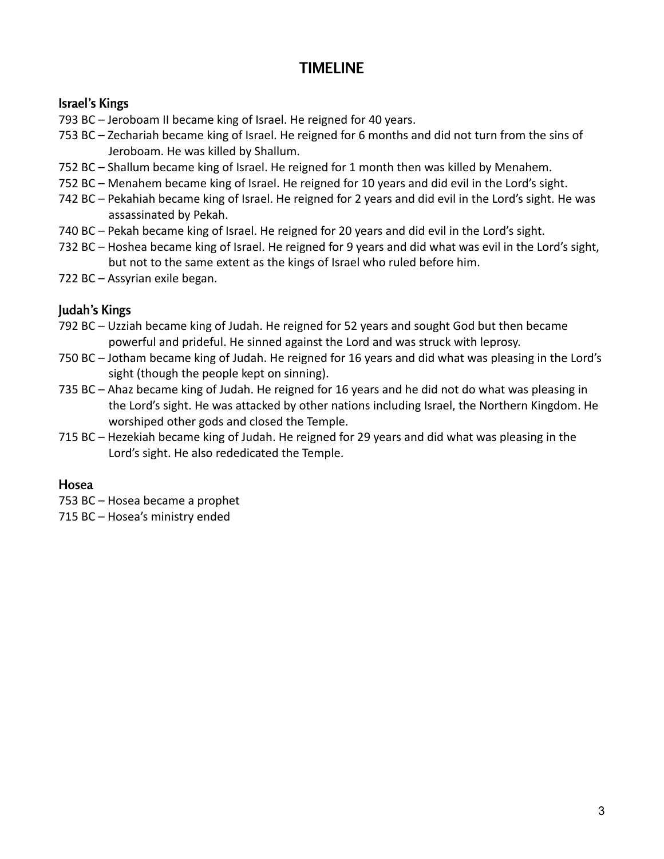# **TIMELINE**

#### **Israel's Kings**

- 793 BC Jeroboam II became king of Israel. He reigned for 40 years.
- 753 BC Zechariah became king of Israel. He reigned for 6 months and did not turn from the sins of Jeroboam. He was killed by Shallum.
- 752 BC Shallum became king of Israel. He reigned for 1 month then was killed by Menahem.
- 752 BC Menahem became king of Israel. He reigned for 10 years and did evil in the Lord's sight.
- 742 BC Pekahiah became king of Israel. He reigned for 2 years and did evil in the Lord's sight. He was assassinated by Pekah.
- 740 BC Pekah became king of Israel. He reigned for 20 years and did evil in the Lord's sight.
- 732 BC Hoshea became king of Israel. He reigned for 9 years and did what was evil in the Lord's sight, but not to the same extent as the kings of Israel who ruled before him.
- 722 BC Assyrian exile began.

#### **Judah's Kings**

- 792 BC Uzziah became king of Judah. He reigned for 52 years and sought God but then became powerful and prideful. He sinned against the Lord and was struck with leprosy.
- 750 BC Jotham became king of Judah. He reigned for 16 years and did what was pleasing in the Lord's sight (though the people kept on sinning).
- 735 BC Ahaz became king of Judah. He reigned for 16 years and he did not do what was pleasing in the Lord's sight. He was attacked by other nations including Israel, the Northern Kingdom. He worshiped other gods and closed the Temple.
- 715 BC Hezekiah became king of Judah. He reigned for 29 years and did what was pleasing in the Lord's sight. He also rededicated the Temple.

#### **Hosea**

- 753 BC Hosea became a prophet
- 715 BC Hosea's ministry ended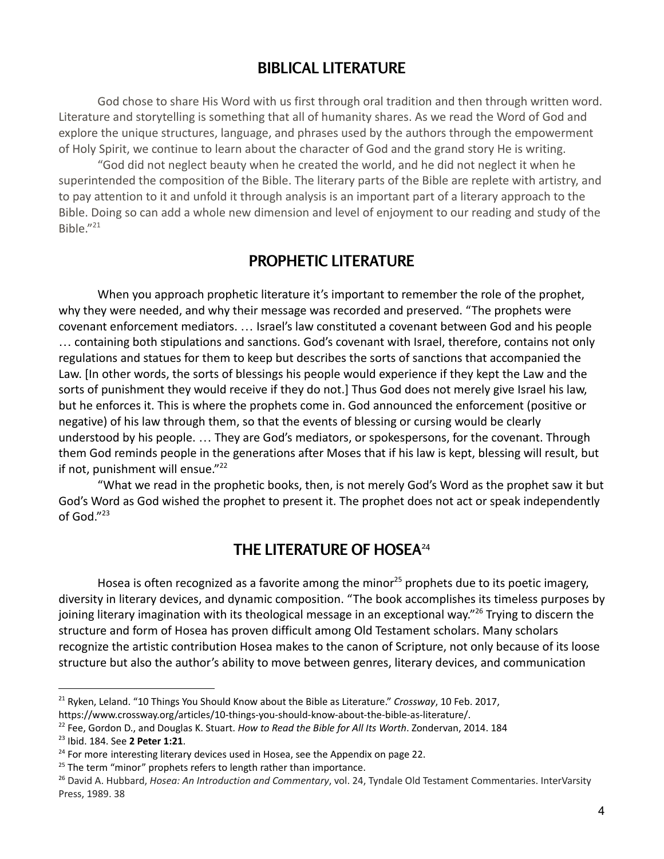### **BIBLICAL LITERATURE**

God chose to share His Word with us first through oral tradition and then through written word. Literature and storytelling is something that all of humanity shares. As we read the Word of God and explore the unique structures, language, and phrases used by the authors through the empowerment of Holy Spirit, we continue to learn about the character of God and the grand story He is writing.

"God did not neglect beauty when he created the world, and he did not neglect it when he superintended the composition of the Bible. The literary parts of the Bible are replete with artistry, and to pay attention to it and unfold it through analysis is an important part of a literary approach to the Bible. Doing so can add a whole new dimension and level of enjoyment to our reading and study of the Bible." 21

#### **PROPHETIC LITERATURE**

When you approach prophetic literature it's important to remember the role of the prophet, why they were needed, and why their message was recorded and preserved. "The prophets were covenant enforcement mediators. … Israel's law constituted a covenant between God and his people … containing both stipulations and sanctions. God's covenant with Israel, therefore, contains not only regulations and statues for them to keep but describes the sorts of sanctions that accompanied the Law. [In other words, the sorts of blessings his people would experience if they kept the Law and the sorts of punishment they would receive if they do not.] Thus God does not merely give Israel his law, but he enforces it. This is where the prophets come in. God announced the enforcement (positive or negative) of his law through them, so that the events of blessing or cursing would be clearly understood by his people. … They are God's mediators, or spokespersons, for the covenant. Through them God reminds people in the generations after Moses that if his law is kept, blessing will result, but if not, punishment will ensue."<sup>22</sup>

"What we read in the prophetic books, then, is not merely God's Word as the prophet saw it but God's Word as God wished the prophet to present it. The prophet does not act or speak independently of God." 23

#### **THE LITERATURE OF HOSEA** 24

Hosea is often recognized as a favorite among the minor<sup>25</sup> prophets due to its poetic imagery, diversity in literary devices, and dynamic composition. "The book accomplishes its timeless purposes by joining literary imagination with its theological message in an exceptional way."<sup>26</sup> Trying to discern the structure and form of Hosea has proven difficult among Old Testament scholars. Many scholars recognize the artistic contribution Hosea makes to the canon of Scripture, not only because of its loose structure but also the author's ability to move between genres, literary devices, and communication

<sup>21</sup> Ryken, Leland. "10 Things You Should Know about the Bible as Literature." *Crossway*, 10 Feb. 2017,

https://www.crossway.org/articles/10-things-you-should-know-about-the-bible-as-literature/.

<sup>22</sup> Fee, Gordon D., and Douglas K. Stuart. *How to Read the Bible for All Its Worth*. Zondervan, 2014. 184

<sup>23</sup> Ibid. 184. See **2 Peter 1:21**.

 $24$  For more interesting literary devices used in Hosea, see the Appendix on page 22.

 $25$  The term "minor" prophets refers to length rather than importance.

<sup>26</sup> David A. Hubbard, *Hosea: An Introduction and Commentary*, vol. 24, Tyndale Old Testament Commentaries. InterVarsity Press, 1989. 38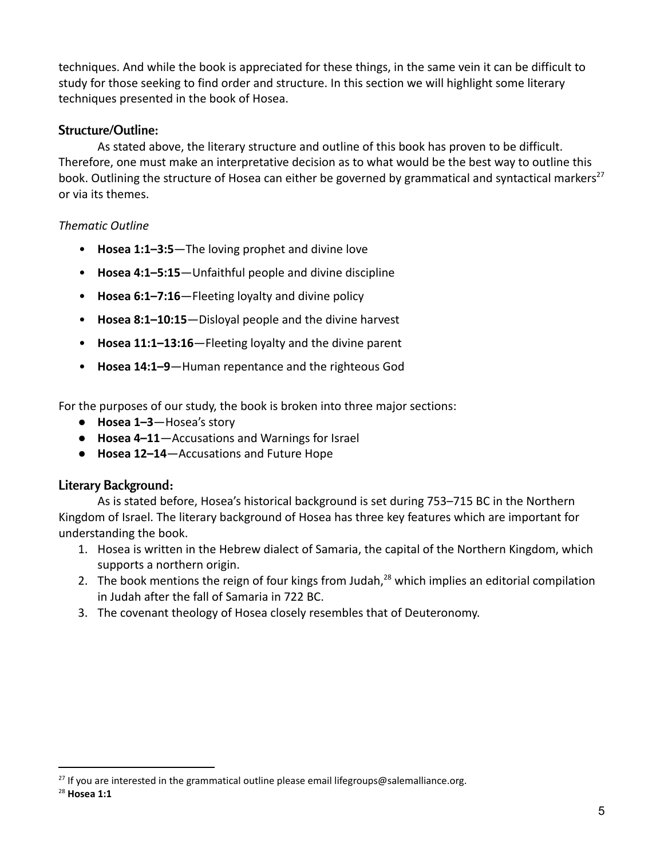techniques. And while the book is appreciated for these things, in the same vein it can be difficult to study for those seeking to find order and structure. In this section we will highlight some literary techniques presented in the book of Hosea.

#### **Structure/Outline:**

As stated above, the literary structure and outline of this book has proven to be difficult. Therefore, one must make an interpretative decision as to what would be the best way to outline this book. Outlining the structure of Hosea can either be governed by grammatical and syntactical markers<sup>27</sup> or via its themes.

#### *Thematic Outline*

- **Hosea 1:1–3:5**—The loving prophet and divine love
- **Hosea 4:1–5:15**—Unfaithful people and divine discipline
- **Hosea 6:1–7:16**—Fleeting loyalty and divine policy
- **Hosea 8:1–10:15**—Disloyal people and the divine harvest
- **Hosea 11:1–13:16**—Fleeting loyalty and the divine parent
- **Hosea 14:1–9**—Human repentance and the righteous God

For the purposes of our study, the book is broken into three major sections:

- **Hosea 1–3**—Hosea's story
- **Hosea 4–11**—Accusations and Warnings for Israel
- **Hosea 12–14**—Accusations and Future Hope

#### **Literary Background:**

As is stated before, Hosea's historical background is set during 753–715 BC in the Northern Kingdom of Israel. The literary background of Hosea has three key features which are important for understanding the book.

- 1. Hosea is written in the Hebrew dialect of Samaria, the capital of the Northern Kingdom, which supports a northern origin.
- 2. The book mentions the reign of four kings from Judah, $^{28}$  which implies an editorial compilation in Judah after the fall of Samaria in 722 BC.
- 3. The covenant theology of Hosea closely resembles that of Deuteronomy.

 $27$  If you are interested in the grammatical outline please email lifegroups@salemalliance.org.

<sup>28</sup> **Hosea 1:1**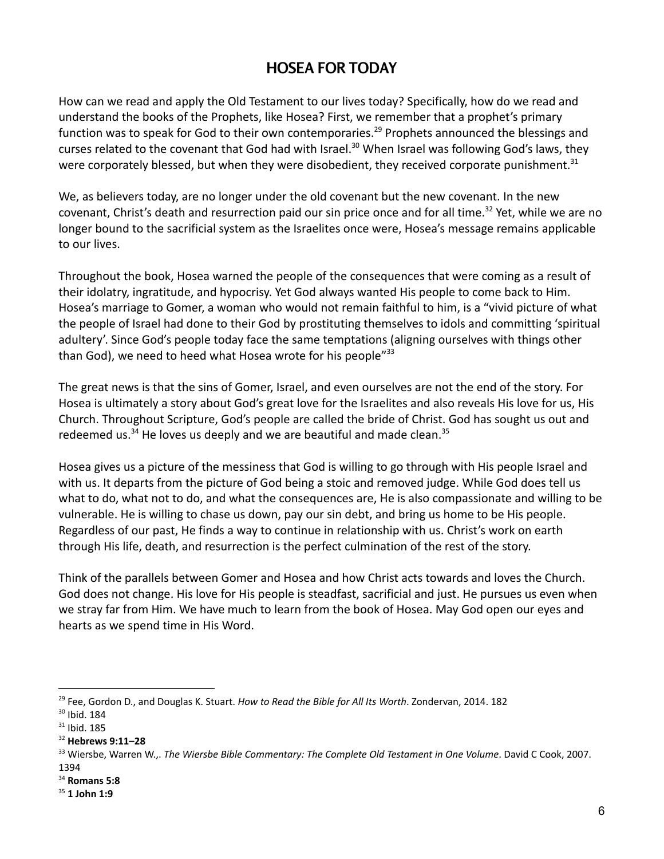# **HOSEA FOR TODAY**

How can we read and apply the Old Testament to our lives today? Specifically, how do we read and understand the books of the Prophets, like Hosea? First, we remember that a prophet's primary function was to speak for God to their own contemporaries.<sup>29</sup> Prophets announced the blessings and curses related to the covenant that God had with Israel.<sup>30</sup> When Israel was following God's laws, they were corporately blessed, but when they were disobedient, they received corporate punishment.<sup>31</sup>

We, as believers today, are no longer under the old covenant but the new covenant. In the new covenant, Christ's death and resurrection paid our sin price once and for all time.<sup>32</sup> Yet, while we are no longer bound to the sacrificial system as the Israelites once were, Hosea's message remains applicable to our lives.

Throughout the book, Hosea warned the people of the consequences that were coming as a result of their idolatry, ingratitude, and hypocrisy. Yet God always wanted His people to come back to Him. Hosea's marriage to Gomer, a woman who would not remain faithful to him, is a "vivid picture of what the people of Israel had done to their God by prostituting themselves to idols and committing 'spiritual adultery'. Since God's people today face the same temptations (aligning ourselves with things other than God), we need to heed what Hosea wrote for his people"<sup>33</sup>

The great news is that the sins of Gomer, Israel, and even ourselves are not the end of the story. For Hosea is ultimately a story about God's great love for the Israelites and also reveals His love for us, His Church. Throughout Scripture, God's people are called the bride of Christ. God has sought us out and redeemed us. $34$  He loves us deeply and we are beautiful and made clean.  $35$ 

Hosea gives us a picture of the messiness that God is willing to go through with His people Israel and with us. It departs from the picture of God being a stoic and removed judge. While God does tell us what to do, what not to do, and what the consequences are, He is also compassionate and willing to be vulnerable. He is willing to chase us down, pay our sin debt, and bring us home to be His people. Regardless of our past, He finds a way to continue in relationship with us. Christ's work on earth through His life, death, and resurrection is the perfect culmination of the rest of the story.

Think of the parallels between Gomer and Hosea and how Christ acts towards and loves the Church. God does not change. His love for His people is steadfast, sacrificial and just. He pursues us even when we stray far from Him. We have much to learn from the book of Hosea. May God open our eyes and hearts as we spend time in His Word.

<sup>34</sup> **Romans 5:8**

<sup>29</sup> Fee, Gordon D., and Douglas K. Stuart. *How to Read the Bible for All Its Worth*. Zondervan, 2014. 182

 $31$  Ibid. 185  $30$  Ibid. 184

<sup>32</sup> **Hebrews 9:11–28**

<sup>33</sup> Wiersbe, Warren W.,. *The Wiersbe Bible Commentary: The Complete Old Testament in One Volume*. David C Cook, 2007. 1394

<sup>35</sup> **1 John 1:9**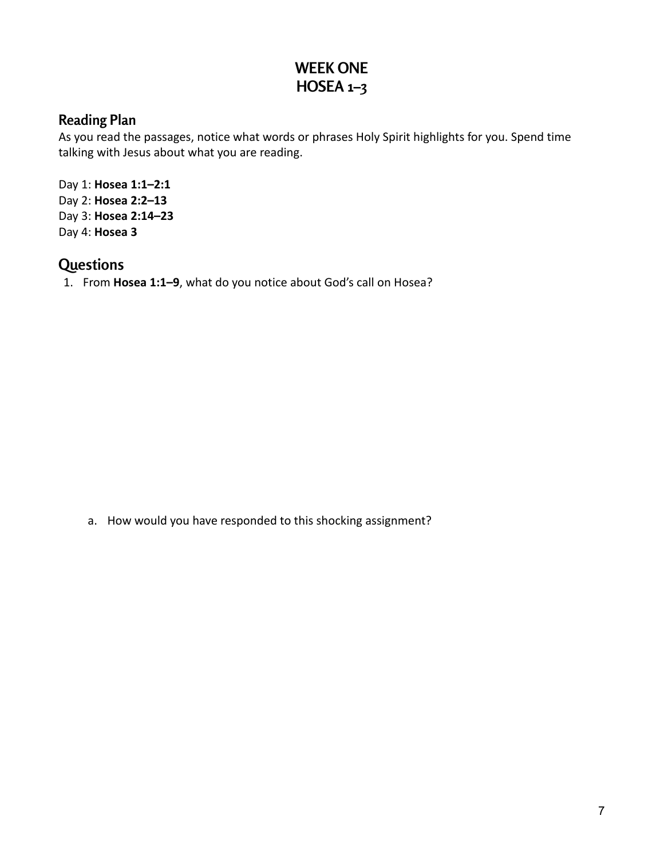# **WEEK ONE HOSEA 1–3**

#### **Reading Plan**

As you read the passages, notice what words or phrases Holy Spirit highlights for you. Spend time talking with Jesus about what you are reading.

Day 1: **Hosea 1:1–2:1** Day 2: **Hosea 2:2–13** Day 3: **Hosea 2:14–23** Day 4: **Hosea 3**

### **Questions**

1. From **Hosea 1:1–9**, what do you notice about God's call on Hosea?

a. How would you have responded to this shocking assignment?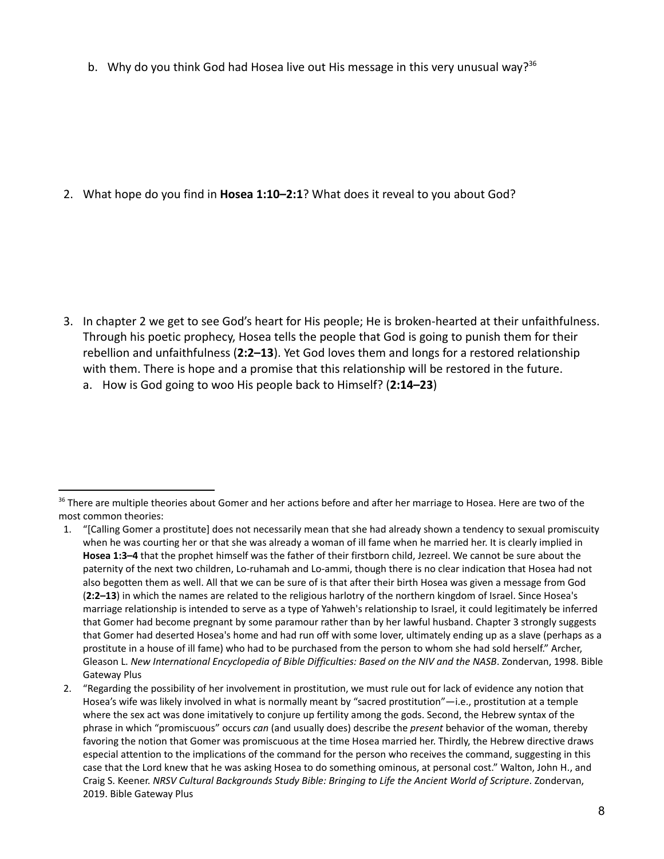b. Why do you think God had Hosea live out His message in this very unusual way?<sup>36</sup>

2. What hope do you find in **Hosea 1:10–2:1**? What does it reveal to you about God?

3. In chapter 2 we get to see God's heart for His people; He is broken-hearted at their unfaithfulness. Through his poetic prophecy, Hosea tells the people that God is going to punish them for their rebellion and unfaithfulness (**2:2–13**). Yet God loves them and longs for a restored relationship with them. There is hope and a promise that this relationship will be restored in the future.

a. How is God going to woo His people back to Himself? (**2:14–23**)

<sup>&</sup>lt;sup>36</sup> There are multiple theories about Gomer and her actions before and after her marriage to Hosea. Here are two of the most common theories:

<sup>1.</sup> "[Calling Gomer a prostitute] does not necessarily mean that she had already shown a tendency to sexual promiscuity when he was courting her or that she was already a woman of ill fame when he married her. It is clearly implied in **Hosea 1:3–4** that the prophet himself was the father of their firstborn child, Jezreel. We cannot be sure about the paternity of the next two children, Lo-ruhamah and Lo-ammi, though there is no clear indication that Hosea had not also begotten them as well. All that we can be sure of is that after their birth Hosea was given a message from God (**2:2–13**) in which the names are related to the religious harlotry of the northern kingdom of Israel. Since Hosea's marriage relationship is intended to serve as a type of Yahweh's relationship to Israel, it could legitimately be inferred that Gomer had become pregnant by some paramour rather than by her lawful husband. Chapter 3 strongly suggests that Gomer had deserted Hosea's home and had run off with some lover, ultimately ending up as a slave (perhaps as a prostitute in a house of ill fame) who had to be purchased from the person to whom she had sold herself." Archer, Gleason L. *New International Encyclopedia of Bible Difficulties: Based on the NIV and the NASB*. Zondervan, 1998. Bible Gateway Plus

<sup>2.</sup> "Regarding the possibility of her involvement in prostitution, we must rule out for lack of evidence any notion that Hosea's wife was likely involved in what is normally meant by "sacred prostitution"—i.e., prostitution at a temple where the sex act was done imitatively to conjure up fertility among the gods. Second, the Hebrew syntax of the phrase in which "promiscuous" occurs *can* (and usually does) describe the *present* behavior of the woman, thereby favoring the notion that Gomer was promiscuous at the time Hosea married her. Thirdly, the Hebrew directive draws especial attention to the implications of the command for the person who receives the command, suggesting in this case that the Lord knew that he was asking Hosea to do something ominous, at personal cost." Walton, John H., and Craig S. Keener. *NRSV Cultural Backgrounds Study Bible: Bringing to Life the Ancient World of Scripture*. Zondervan, 2019. Bible Gateway Plus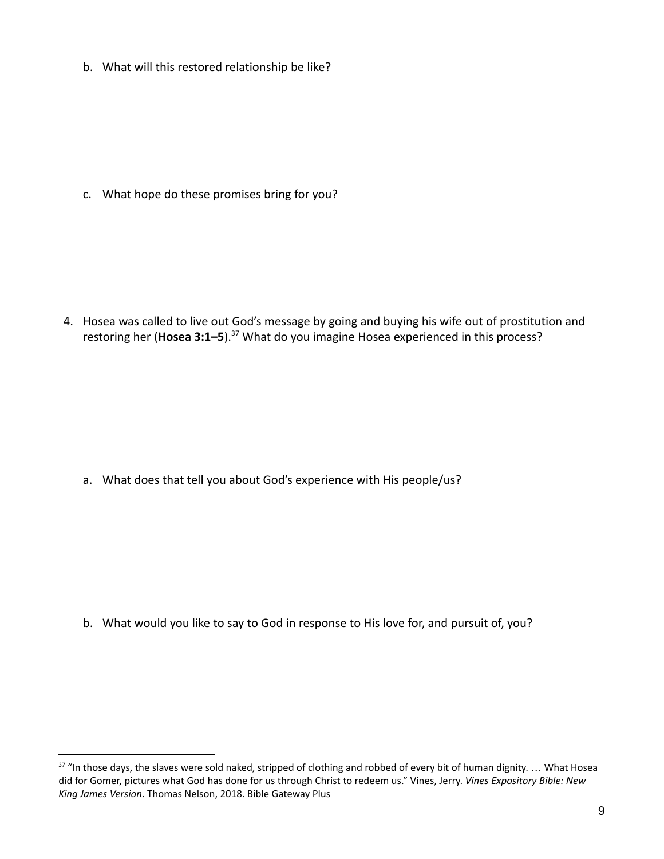b. What will this restored relationship be like?

c. What hope do these promises bring for you?

4. Hosea was called to live out God's message by going and buying his wife out of prostitution and restoring her (Hosea 3:1-5).<sup>37</sup> What do you imagine Hosea experienced in this process?

a. What does that tell you about God's experience with His people/us?

b. What would you like to say to God in response to His love for, and pursuit of, you?

<sup>&</sup>lt;sup>37</sup> "In those days, the slaves were sold naked, stripped of clothing and robbed of every bit of human dignity. ... What Hosea did for Gomer, pictures what God has done for us through Christ to redeem us." Vines, Jerry. *Vines Expository Bible: New King James Version*. Thomas Nelson, 2018. Bible Gateway Plus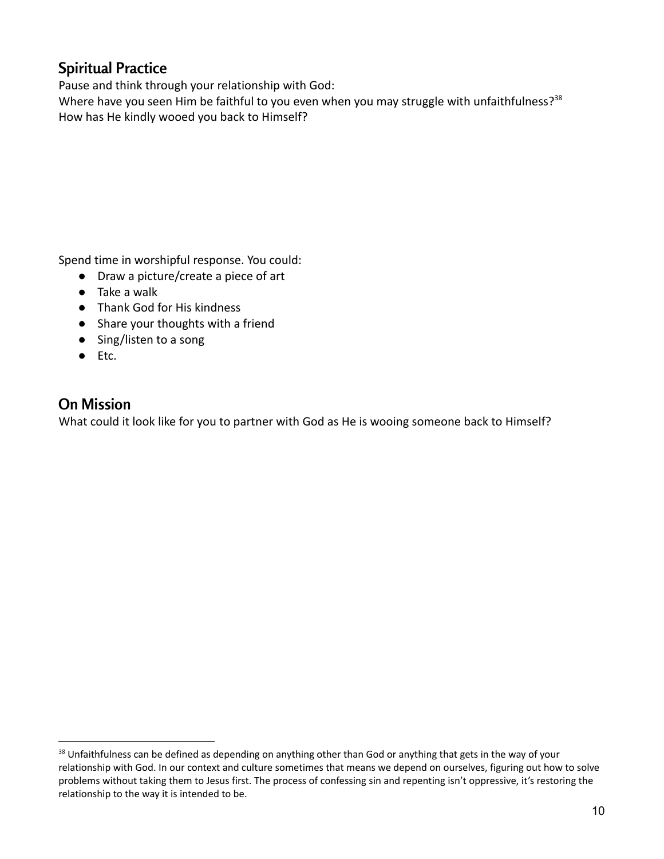## **Spiritual Practice**

Pause and think through your relationship with God:

Where have you seen Him be faithful to you even when you may struggle with unfaithfulness?<sup>38</sup> How has He kindly wooed you back to Himself?

Spend time in worshipful response. You could:

- Draw a picture/create a piece of art
- Take a walk
- Thank God for His kindness
- Share your thoughts with a friend
- Sing/listen to a song
- Etc.

## **On Mission**

What could it look like for you to partner with God as He is wooing someone back to Himself?

<sup>&</sup>lt;sup>38</sup> Unfaithfulness can be defined as depending on anything other than God or anything that gets in the way of your relationship with God. In our context and culture sometimes that means we depend on ourselves, figuring out how to solve problems without taking them to Jesus first. The process of confessing sin and repenting isn't oppressive, it's restoring the relationship to the way it is intended to be.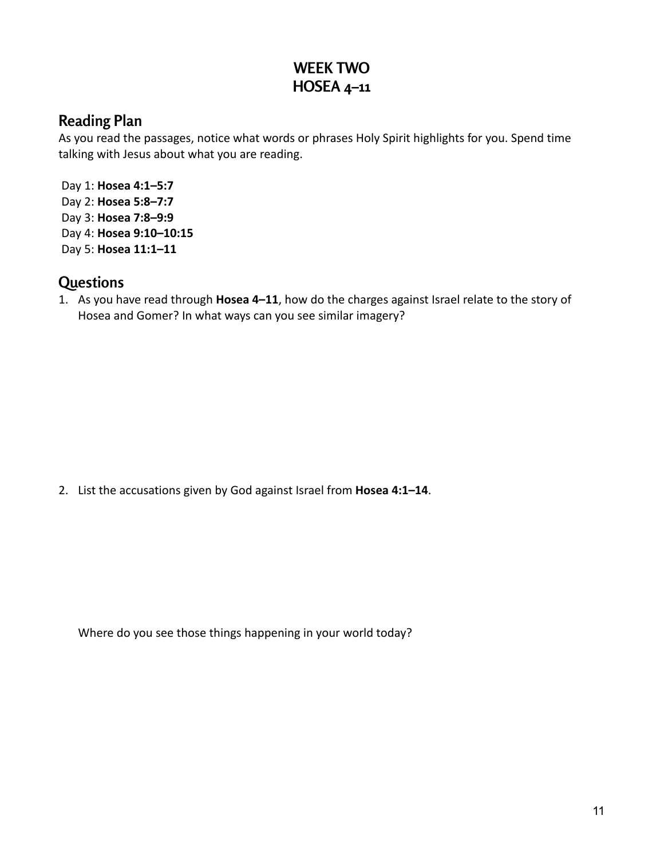# **WEEK TWO HOSEA 4–11**

## **Reading Plan**

As you read the passages, notice what words or phrases Holy Spirit highlights for you. Spend time talking with Jesus about what you are reading.

Day 1: **Hosea 4:1–5:7** Day 2: **Hosea 5:8–7:7** Day 3: **Hosea 7:8–9:9** Day 4: **Hosea 9:10–10:15** Day 5: **Hosea 11:1–11**

## **Questions**

1. As you have read through **Hosea 4–11**, how do the charges against Israel relate to the story of Hosea and Gomer? In what ways can you see similar imagery?

2. List the accusations given by God against Israel from **Hosea 4:1–14**.

Where do you see those things happening in your world today?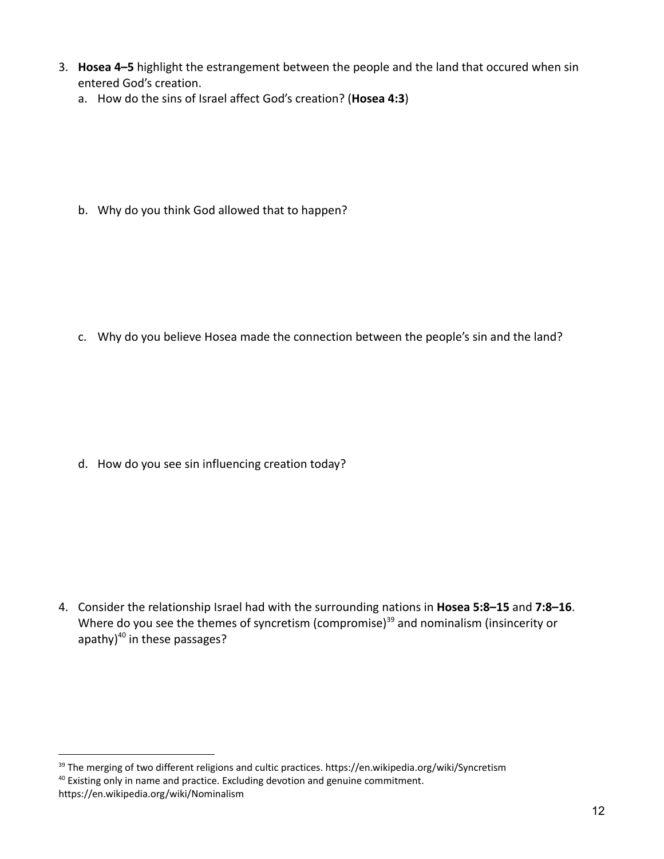- 3. **Hosea 4–5** highlight the estrangement between the people and the land that occured when sin entered God's creation.
	- a. How do the sins of Israel affect God's creation? (**Hosea 4:3**)

b. Why do you think God allowed that to happen?

c. Why do you believe Hosea made the connection between the people's sin and the land?

d. How do you see sin influencing creation today?

4. Consider the relationship Israel had with the surrounding nations in **Hosea 5:8–15** and **7:8–16**. Where do you see the themes of syncretism (compromise) $39$  and nominalism (insincerity or apathy)<sup>40</sup> in these passages?

https://en.wikipedia.org/wiki/Nominalism

<sup>&</sup>lt;sup>39</sup> The merging of two different religions and cultic practices. https://en.wikipedia.org/wiki/Syncretism

 $40$  Existing only in name and practice. Excluding devotion and genuine commitment.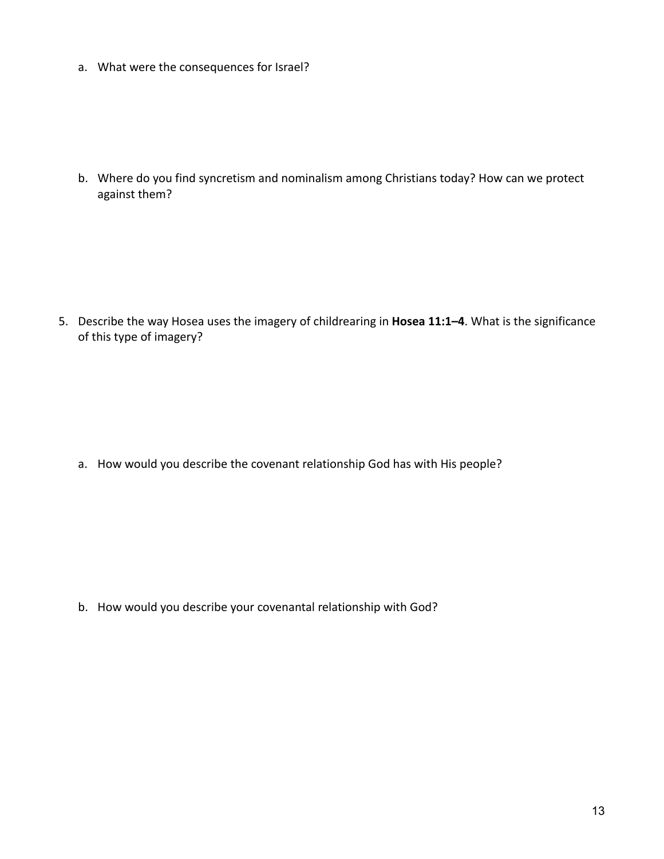a. What were the consequences for Israel?

b. Where do you find syncretism and nominalism among Christians today? How can we protect against them?

5. Describe the way Hosea uses the imagery of childrearing in **Hosea 11:1–4**. What is the significance of this type of imagery?

a. How would you describe the covenant relationship God has with His people?

b. How would you describe your covenantal relationship with God?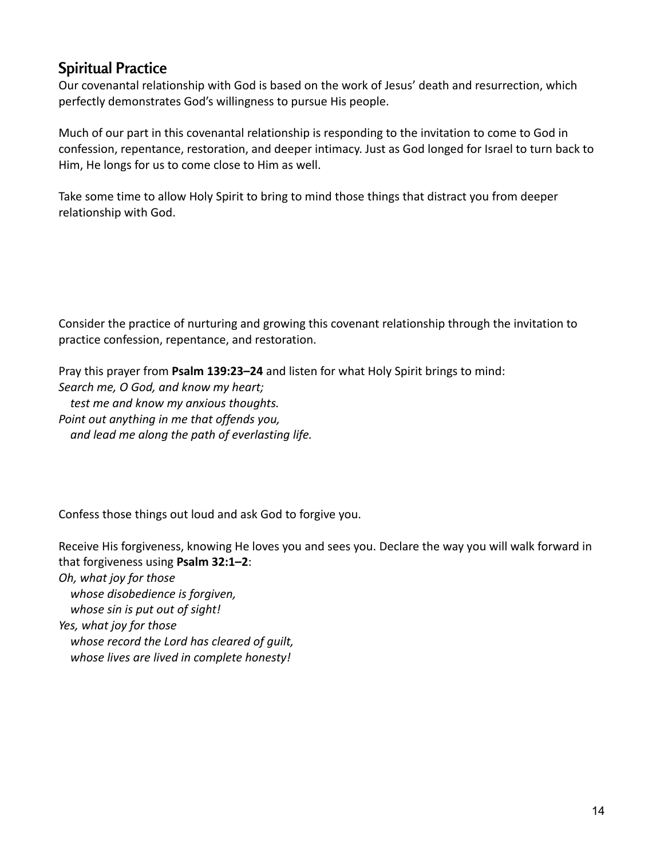### **Spiritual Practice**

Our covenantal relationship with God is based on the work of Jesus' death and resurrection, which perfectly demonstrates God's willingness to pursue His people.

Much of our part in this covenantal relationship is responding to the invitation to come to God in confession, repentance, restoration, and deeper intimacy. Just as God longed for Israel to turn back to Him, He longs for us to come close to Him as well.

Take some time to allow Holy Spirit to bring to mind those things that distract you from deeper relationship with God.

Consider the practice of nurturing and growing this covenant relationship through the invitation to practice confession, repentance, and restoration.

Pray this prayer from **Psalm 139:23–24** and listen for what Holy Spirit brings to mind: *Search me, O God, and know my heart; test me and know my anxious thoughts. Point out anything in me that offends you, and lead me along the path of everlasting life.*

Confess those things out loud and ask God to forgive you.

Receive His forgiveness, knowing He loves you and sees you. Declare the way you will walk forward in that forgiveness using **Psalm 32:1–2**:

*Oh, what joy for those whose disobedience is forgiven, whose sin is put out of sight! Yes, what joy for those whose record the Lord has cleared of guilt, whose lives are lived in complete honesty!*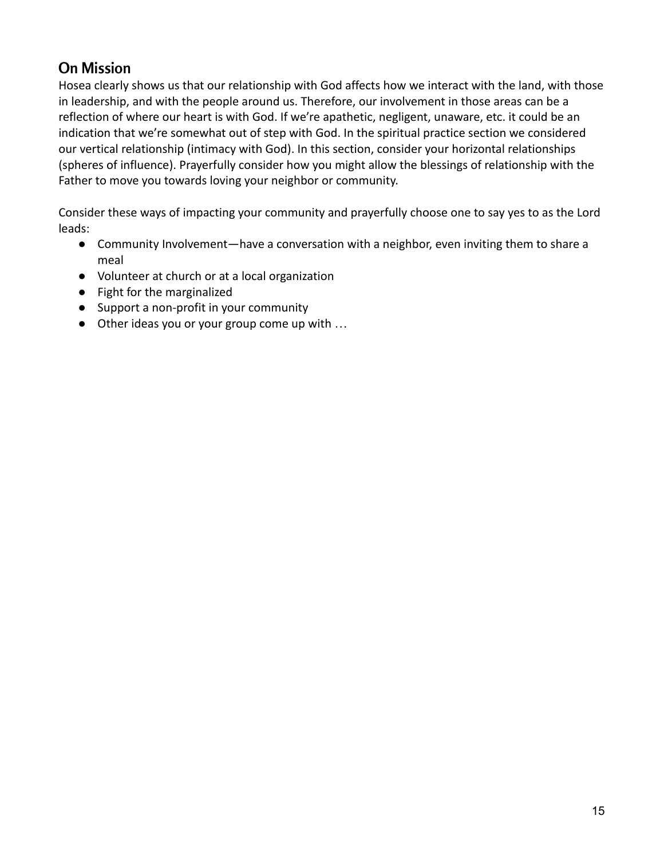# **On Mission**

Hosea clearly shows us that our relationship with God affects how we interact with the land, with those in leadership, and with the people around us. Therefore, our involvement in those areas can be a reflection of where our heart is with God. If we're apathetic, negligent, unaware, etc. it could be an indication that we're somewhat out of step with God. In the spiritual practice section we considered our vertical relationship (intimacy with God). In this section, consider your horizontal relationships (spheres of influence). Prayerfully consider how you might allow the blessings of relationship with the Father to move you towards loving your neighbor or community.

Consider these ways of impacting your community and prayerfully choose one to say yes to as the Lord leads:

- Community Involvement—have a conversation with a neighbor, even inviting them to share a meal
- Volunteer at church or at a local organization
- Fight for the marginalized
- Support a non-profit in your community
- Other ideas you or your group come up with ...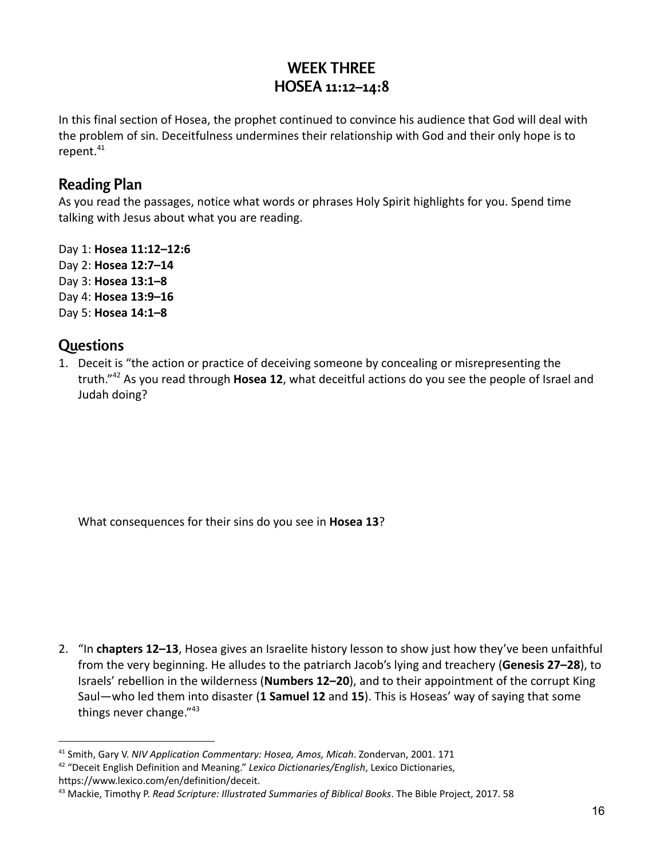# **WEEK THREE HOSEA 11:12–14:8**

In this final section of Hosea, the prophet continued to convince his audience that God will deal with the problem of sin. Deceitfulness undermines their relationship with God and their only hope is to repent.<sup>41</sup>

## **Reading Plan**

As you read the passages, notice what words or phrases Holy Spirit highlights for you. Spend time talking with Jesus about what you are reading.

Day 1: **Hosea 11:12–12:6** Day 2: **Hosea 12:7–14** Day 3: **Hosea 13:1–8** Day 4: **Hosea 13:9–16** Day 5: **Hosea 14:1–8**

## **Questions**

1. Deceit is "the action or practice of deceiving someone by concealing or misrepresenting the truth." <sup>42</sup> As you read through **Hosea 12**, what deceitful actions do you see the people of Israel and Judah doing?

What consequences for their sins do you see in **Hosea 13**?

2. "In **chapters 12–13**, Hosea gives an Israelite history lesson to show just how they've been unfaithful from the very beginning. He alludes to the patriarch Jacob's lying and treachery (**Genesis 27–28**), to Israels' rebellion in the wilderness (**Numbers 12–20**), and to their appointment of the corrupt King Saul—who led them into disaster (**1 Samuel 12** and **15**). This is Hoseas' way of saying that some things never change."<sup>43</sup>

<sup>41</sup> Smith, Gary V. *NIV Application Commentary: Hosea, Amos, Micah*. Zondervan, 2001. 171

<sup>42</sup> "Deceit English Definition and Meaning." *Lexico Dictionaries/English*, Lexico Dictionaries, https://www.lexico.com/en/definition/deceit.

<sup>43</sup> Mackie, Timothy P. *Read Scripture: Illustrated Summaries of Biblical Books*. The Bible Project, 2017. 58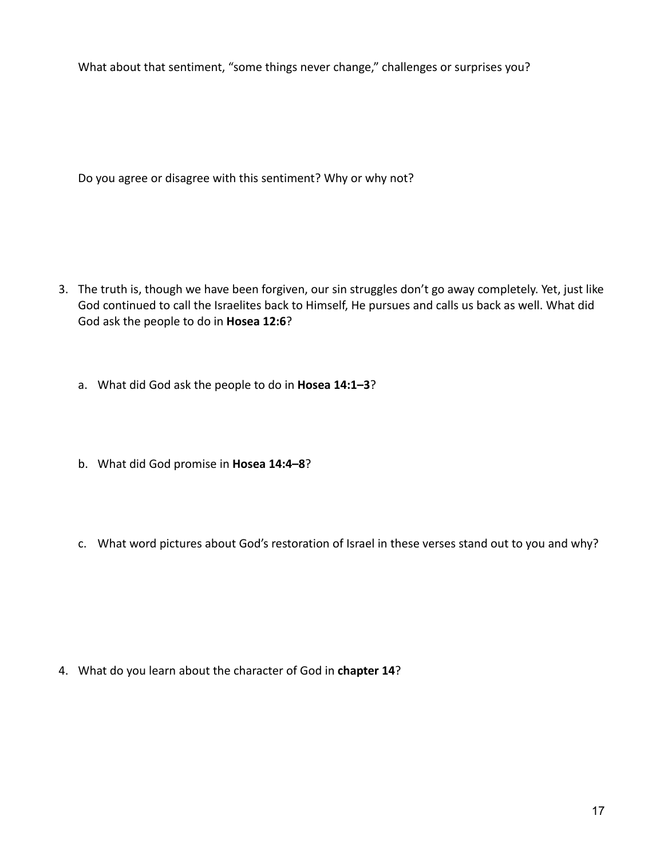What about that sentiment, "some things never change," challenges or surprises you?

```
Do you agree or disagree with this sentiment? Why or why not?
```
- 3. The truth is, though we have been forgiven, our sin struggles don't go away completely. Yet, just like God continued to call the Israelites back to Himself, He pursues and calls us back as well. What did God ask the people to do in **Hosea 12:6**?
	- a. What did God ask the people to do in **Hosea 14:1–3**?
	- b. What did God promise in **Hosea 14:4–8**?
	- c. What word pictures about God's restoration of Israel in these verses stand out to you and why?

4. What do you learn about the character of God in **chapter 14**?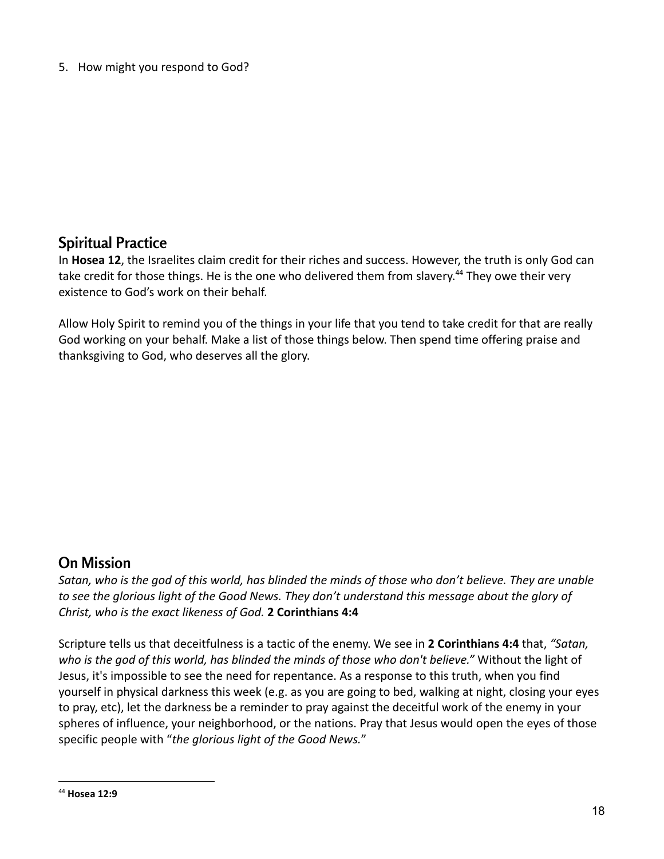#### 5. How might you respond to God?

#### **Spiritual Practice**

In **Hosea 12**, the Israelites claim credit for their riches and success. However, the truth is only God can take credit for those things. He is the one who delivered them from slavery.<sup>44</sup> They owe their very existence to God's work on their behalf.

Allow Holy Spirit to remind you of the things in your life that you tend to take credit for that are really God working on your behalf. Make a list of those things below. Then spend time offering praise and thanksgiving to God, who deserves all the glory.

#### **On Mission**

*Satan, who is the god of this world, has blinded the minds of those who don't believe. They are unable to see the glorious light of the Good News. They don't understand this message about the glory of Christ, who is the exact likeness of God.* **2 Corinthians 4:4**

Scripture tells us that deceitfulness is a tactic of the enemy. We see in **2 Corinthians 4:4** that, *"Satan, who is the god of this world, has blinded the minds of those who don't believe."* Without the light of Jesus, it's impossible to see the need for repentance. As a response to this truth, when you find yourself in physical darkness this week (e.g. as you are going to bed, walking at night, closing your eyes to pray, etc), let the darkness be a reminder to pray against the deceitful work of the enemy in your spheres of influence, your neighborhood, or the nations. Pray that Jesus would open the eyes of those specific people with "*the glorious light of the Good News.*"

<sup>44</sup> **Hosea 12:9**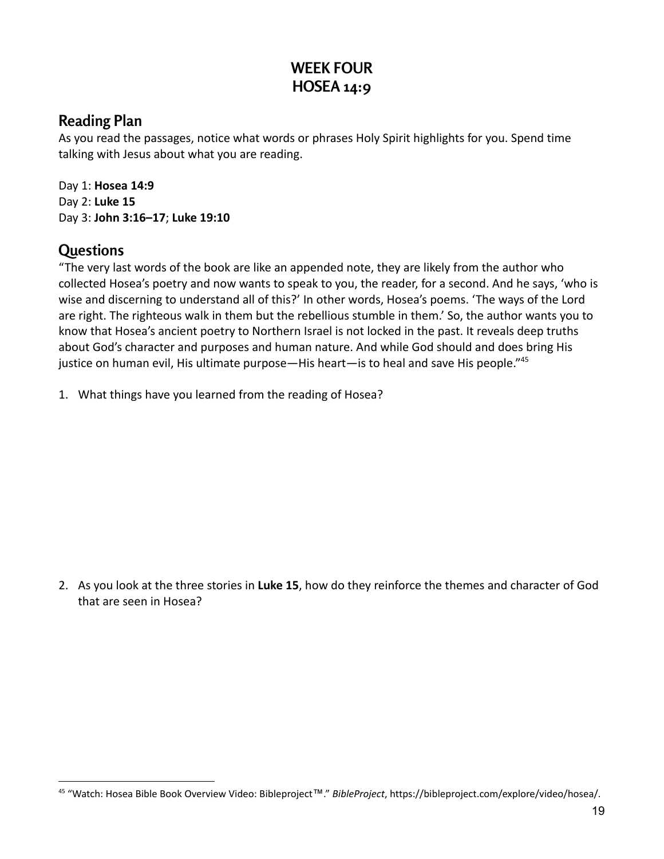# **WEEK FOUR HOSEA 14:9**

## **Reading Plan**

As you read the passages, notice what words or phrases Holy Spirit highlights for you. Spend time talking with Jesus about what you are reading.

Day 1: **Hosea 14:9** Day 2: **Luke 15** Day 3: **John 3:16–17**; **Luke 19:10**

## **Questions**

"The very last words of the book are like an appended note, they are likely from the author who collected Hosea's poetry and now wants to speak to you, the reader, for a second. And he says, 'who is wise and discerning to understand all of this?' In other words, Hosea's poems. 'The ways of the Lord are right. The righteous walk in them but the rebellious stumble in them.' So, the author wants you to know that Hosea's ancient poetry to Northern Israel is not locked in the past. It reveals deep truths about God's character and purposes and human nature. And while God should and does bring His justice on human evil, His ultimate purpose—His heart—is to heal and save His people."<sup>45</sup>

1. What things have you learned from the reading of Hosea?

2. As you look at the three stories in **Luke 15**, how do they reinforce the themes and character of God that are seen in Hosea?

<sup>45</sup> "Watch: Hosea Bible Book Overview Video: Bibleproject™." *BibleProject*, https://bibleproject.com/explore/video/hosea/.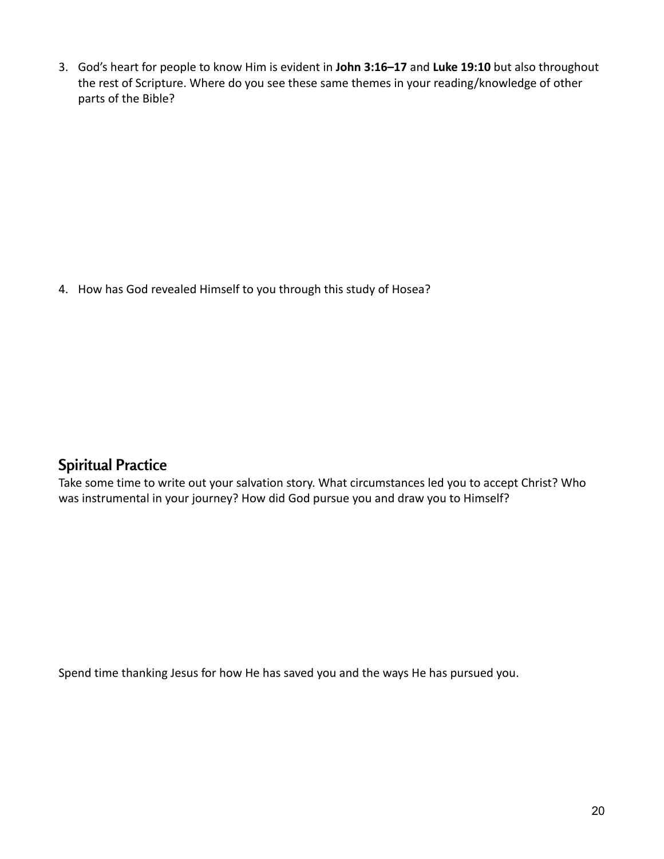3. God's heart for people to know Him is evident in **John 3:16–17** and **Luke 19:10** but also throughout the rest of Scripture. Where do you see these same themes in your reading/knowledge of other parts of the Bible?

4. How has God revealed Himself to you through this study of Hosea?

#### **Spiritual Practice**

Take some time to write out your salvation story. What circumstances led you to accept Christ? Who was instrumental in your journey? How did God pursue you and draw you to Himself?

Spend time thanking Jesus for how He has saved you and the ways He has pursued you.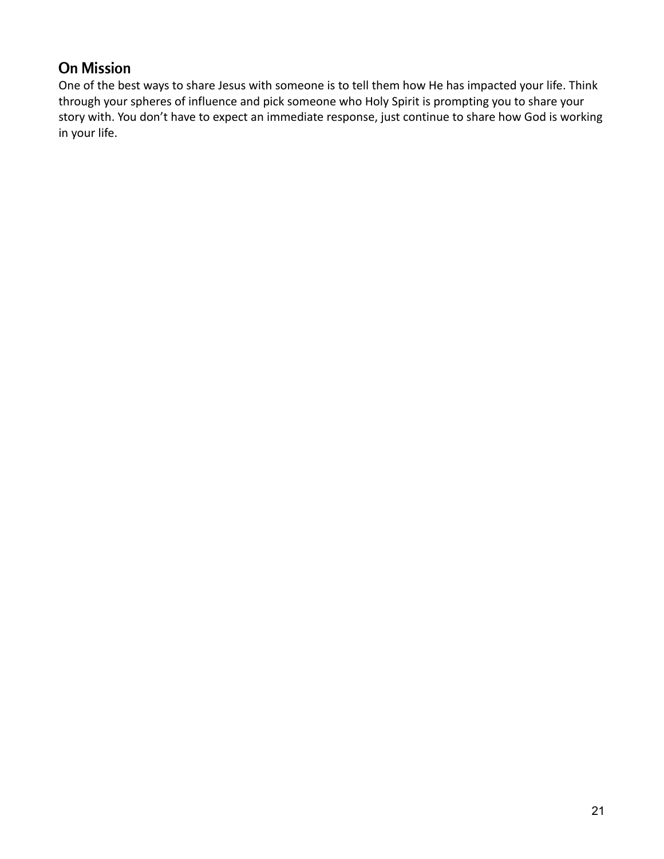# **On Mission**

One of the best ways to share Jesus with someone is to tell them how He has impacted your life. Think through your spheres of influence and pick someone who Holy Spirit is prompting you to share your story with. You don't have to expect an immediate response, just continue to share how God is working in your life.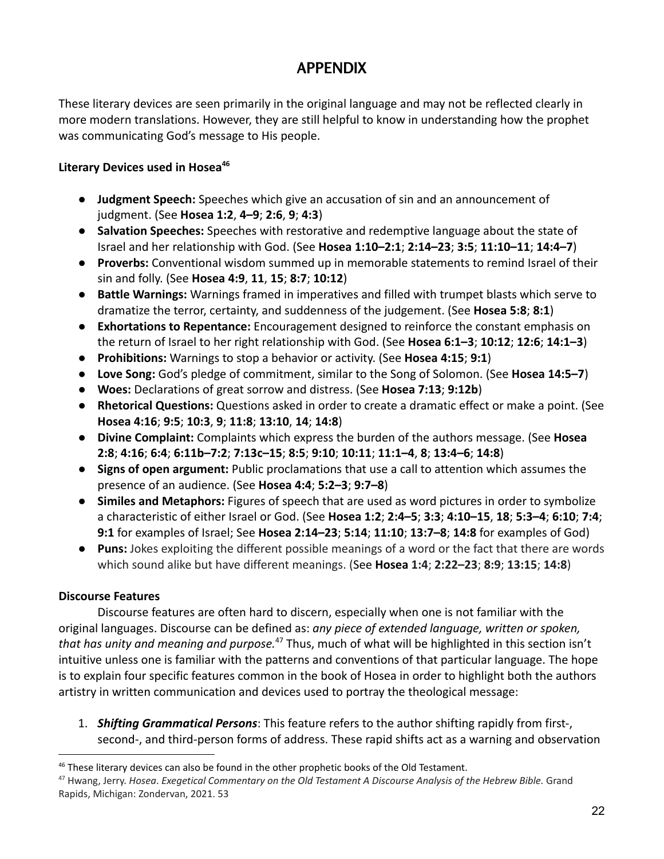## **APPENDIX**

These literary devices are seen primarily in the original language and may not be reflected clearly in more modern translations. However, they are still helpful to know in understanding how the prophet was communicating God's message to His people.

#### **Literary Devices used in Hosea<sup>46</sup>**

- **Judgment Speech:** Speeches which give an accusation of sin and an announcement of judgment. (See **Hosea 1:2**, **4–9**; **2:6**, **9**; **4:3**)
- **Salvation Speeches:** Speeches with restorative and redemptive language about the state of Israel and her relationship with God. (See **Hosea 1:10–2:1**; **2:14–23**; **3:5**; **11:10–11**; **14:4–7**)
- **Proverbs:** Conventional wisdom summed up in memorable statements to remind Israel of their sin and folly. (See **Hosea 4:9**, **11**, **15**; **8:7**; **10:12**)
- **Battle Warnings:** Warnings framed in imperatives and filled with trumpet blasts which serve to dramatize the terror, certainty, and suddenness of the judgement. (See **Hosea 5:8**; **8:1**)
- **Exhortations to Repentance:** Encouragement designed to reinforce the constant emphasis on the return of Israel to her right relationship with God. (See **Hosea 6:1–3**; **10:12**; **12:6**; **14:1–3**)
- **Prohibitions:** Warnings to stop a behavior or activity. (See **Hosea 4:15**; **9:1**)
- **Love Song:** God's pledge of commitment, similar to the Song of Solomon. (See **Hosea 14:5–7**)
- **Woes:** Declarations of great sorrow and distress. (See **Hosea 7:13**; **9:12b**)
- **Rhetorical Questions:** Questions asked in order to create a dramatic effect or make a point. (See **Hosea 4:16**; **9:5**; **10:3**, **9**; **11:8**; **13:10**, **14**; **14:8**)
- **Divine Complaint:** Complaints which express the burden of the authors message. (See **Hosea 2:8**; **4:16**; **6:4**; **6:11b–7:2**; **7:13c–15**; **8:5**; **9:10**; **10:11**; **11:1–4**, **8**; **13:4–6**; **14:8**)
- **Signs of open argument:** Public proclamations that use a call to attention which assumes the presence of an audience. (See **Hosea 4:4**; **5:2–3**; **9:7–8**)
- **Similes and Metaphors:** Figures of speech that are used as word pictures in order to symbolize a characteristic of either Israel or God. (See **Hosea 1:2**; **2:4–5**; **3:3**; **4:10–15**, **18**; **5:3–4**; **6:10**; **7:4**; **9:1** for examples of Israel; See **Hosea 2:14–23**; **5:14**; **11:10**; **13:7–8**; **14:8** for examples of God)
- **Puns:** Jokes exploiting the different possible meanings of a word or the fact that there are words which sound alike but have different meanings. (See **Hosea 1:4**; **2:22–23**; **8:9**; **13:15**; **14:8**)

#### **Discourse Features**

Discourse features are often hard to discern, especially when one is not familiar with the original languages. Discourse can be defined as: *any piece of extended language, written or spoken, that has unity and meaning and purpose.*<sup>47</sup> Thus, much of what will be highlighted in this section isn't intuitive unless one is familiar with the patterns and conventions of that particular language. The hope is to explain four specific features common in the book of Hosea in order to highlight both the authors artistry in written communication and devices used to portray the theological message:

1. *Shifting Grammatical Persons*: This feature refers to the author shifting rapidly from first-, second-, and third-person forms of address. These rapid shifts act as a warning and observation

 $46$  These literary devices can also be found in the other prophetic books of the Old Testament.

<sup>47</sup> Hwang, Jerry. *Hosea*. *Exegetical Commentary on the Old Testament A Discourse Analysis of the Hebrew Bible.* Grand Rapids, Michigan: Zondervan, 2021. 53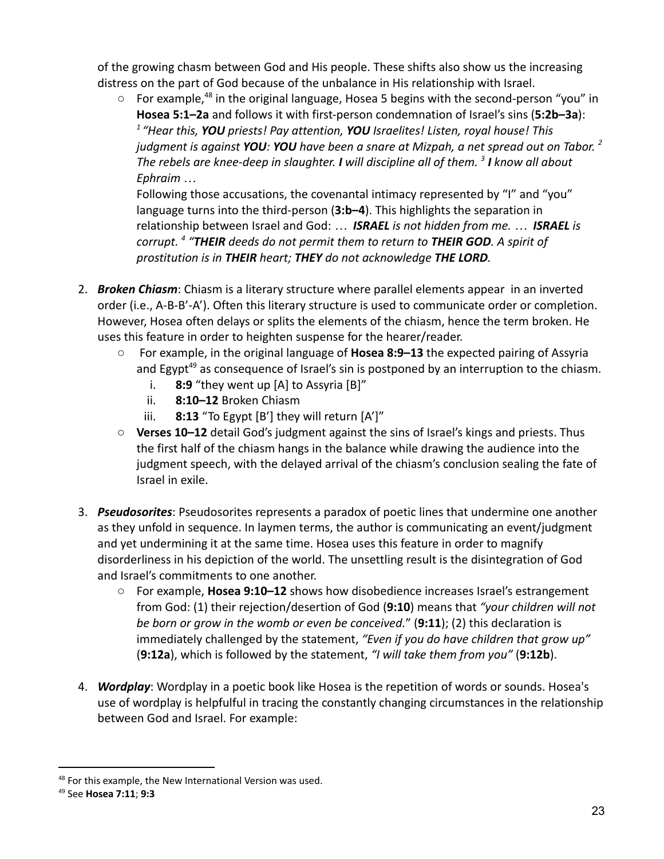of the growing chasm between God and His people. These shifts also show us the increasing distress on the part of God because of the unbalance in His relationship with Israel.

 $\circ$  For example,<sup>48</sup> in the original language, Hosea 5 begins with the second-person "you" in **Hosea 5:1–2a** and follows it with first-person condemnation of Israel's sins (**5:2b–3a**): *<sup>1</sup> "Hear this, YOU priests! Pay attention, YOU Israelites! Listen, royal house! This judgment is against YOU: YOU have been a snare at Mizpah, a net spread out on Tabor. 2 The rebels are knee-deep in slaughter. I will discipline all of them. <sup>3</sup> I know all about Ephraim* …

Following those accusations, the covenantal intimacy represented by "I" and "you" language turns into the third-person (**3:b–4**). This highlights the separation in relationship between Israel and God: *… ISRAEL is not hidden from me. … ISRAEL is corrupt. <sup>4</sup> "THEIR deeds do not permit them to return to THEIR GOD. A spirit of prostitution is in THEIR heart; THEY do not acknowledge THE LORD.*

- 2. *Broken Chiasm*: Chiasm is a literary structure where parallel elements appear in an inverted order (i.e., A-B-B'-A'). Often this literary structure is used to communicate order or completion. However, Hosea often delays or splits the elements of the chiasm, hence the term broken. He uses this feature in order to heighten suspense for the hearer/reader.
	- For example, in the original language of **Hosea 8:9–13** the expected pairing of Assyria and Egypt<sup>49</sup> as consequence of Israel's sin is postponed by an interruption to the chiasm.
		- i. **8:9** "they went up [A] to Assyria [B]"
		- ii. **8:10–12** Broken Chiasm
		- iii. **8:13** "To Egypt [B'] they will return [A']"
	- **Verses 10–12** detail God's judgment against the sins of Israel's kings and priests. Thus the first half of the chiasm hangs in the balance while drawing the audience into the judgment speech, with the delayed arrival of the chiasm's conclusion sealing the fate of Israel in exile.
- 3. *Pseudosorites*: Pseudosorites represents a paradox of poetic lines that undermine one another as they unfold in sequence. In laymen terms, the author is communicating an event/judgment and yet undermining it at the same time. Hosea uses this feature in order to magnify disorderliness in his depiction of the world. The unsettling result is the disintegration of God and Israel's commitments to one another.
	- For example, **Hosea 9:10–12** shows how disobedience increases Israel's estrangement from God: (1) their rejection/desertion of God (**9:10**) means that *"your children will not be born or grow in the womb or even be conceived.*" (**9:11**); (2) this declaration is immediately challenged by the statement, *"Even if you do have children that grow up"* (**9:12a**), which is followed by the statement, *"I will take them from you"* (**9:12b**).
- 4. *Wordplay*: Wordplay in a poetic book like Hosea is the repetition of words or sounds. Hosea's use of wordplay is helpfulful in tracing the constantly changing circumstances in the relationship between God and Israel. For example:

<sup>&</sup>lt;sup>48</sup> For this example, the New International Version was used.

<sup>49</sup> See **Hosea 7:11**; **9:3**